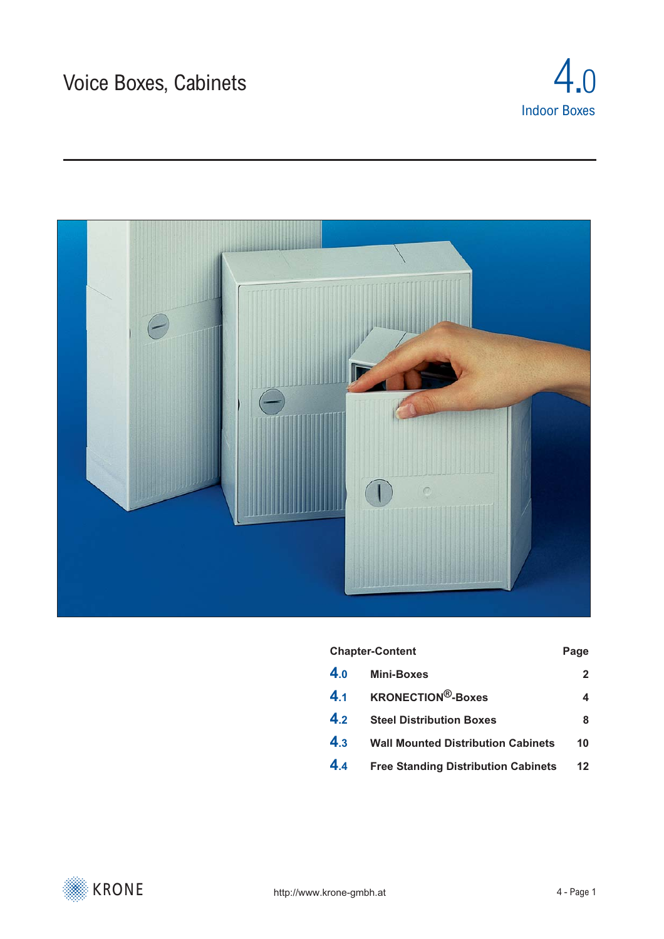



#### Chapter-Content **Page**

| 4.0 | Mini-Boxes                             |           |
|-----|----------------------------------------|-----------|
|     | 4.1 KRONECTION <sup>®</sup> -Boxes     |           |
|     | 4.2 Steel Distribution Boxes           | 8         |
|     | 4.3 Wall Mounted Distribution Cabinets | <b>10</b> |
|     |                                        |           |

**4.4 [Free Standing Distribution Cabinets 12](#page-11-0)**

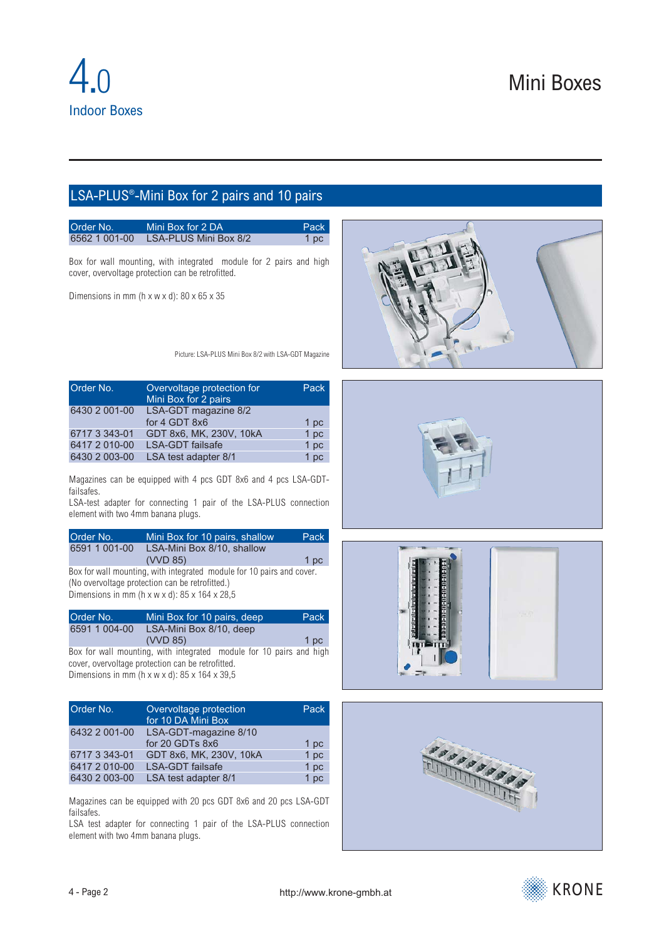## <span id="page-1-0"></span>LSA-PLUS®-Mini Box for 2 pairs and 10 pairs

| Order No.     | Mini Box for 2 DA     | Pack |
|---------------|-----------------------|------|
| 6562 1 001-00 | LSA-PLUS Mini Box 8/2 | 1 pc |

Box for wall mounting, with integrated module for 2 pairs and high cover, overvoltage protection can be retrofitted.

Dimensions in mm ( $h \times w \times d$ ): 80  $\times$  65  $\times$  35

Picture: LSA-PLUS Mini Box 8/2 with LSA-GDT Magazine

| Order No.     | Overvoltage protection for<br>Mini Box for 2 pairs | Pack |
|---------------|----------------------------------------------------|------|
| 6430 2 001-00 | LSA-GDT magazine 8/2                               |      |
|               | for 4 GDT 8x6                                      | 1 pc |
| 6717 3 343-01 | GDT 8x6, MK, 230V, 10kA                            | 1 pc |
| 6417 2 010-00 | <b>LSA-GDT</b> failsafe                            | 1 pc |
| 6430 2 003-00 | LSA test adapter 8/1                               | 1 pc |

Magazines can be equipped with 4 pcs GDT 8x6 and 4 pcs LSA-GDTfailsafes.

LSA-test adapter for connecting 1 pair of the LSA-PLUS connection element with two 4mm banana plugs.

| Order No.     | Mini Box for 10 pairs, shallow | Pack <sup>1</sup> |
|---------------|--------------------------------|-------------------|
| 6591 1 001-00 | LSA-Mini Box 8/10, shallow     |                   |
|               | (VVD 85)                       | 1 pc              |

Box for wall mounting, with integrated module for 10 pairs and cover. (No overvoltage protection can be retrofitted.) Dimensions in mm (h x w x d):  $85 \times 164 \times 28.5$ 

| Order No.     | Mini Box for 10 pairs, deep | Pack |
|---------------|-----------------------------|------|
| 6591 1 004-00 | LSA-Mini Box 8/10, deep     |      |
|               | (VVD 85)                    | 1 pc |

Box for wall mounting, with integrated module for 10 pairs and high cover, overvoltage protection can be retrofitted. Dimensions in mm (h x w x d): 85 x 164 x 39,5

| Order No.     | Overvoltage protection<br>for 10 DA Mini Box | Pack |
|---------------|----------------------------------------------|------|
| 6432 2 001-00 | LSA-GDT-magazine 8/10                        |      |
|               | for 20 GDTs 8x6                              | 1 pc |
| 6717 3 343-01 | GDT 8x6, MK, 230V, 10kA                      | 1 pc |
| 6417 2 010-00 | <b>LSA-GDT</b> failsafe                      | 1 pc |
| 6430 2 003-00 | LSA test adapter 8/1                         | 1 pc |

Magazines can be equipped with 20 pcs GDT 8x6 and 20 pcs LSA-GDT failsafes.

LSA test adapter for connecting 1 pair of the LSA-PLUS connection element with two 4mm banana plugs.









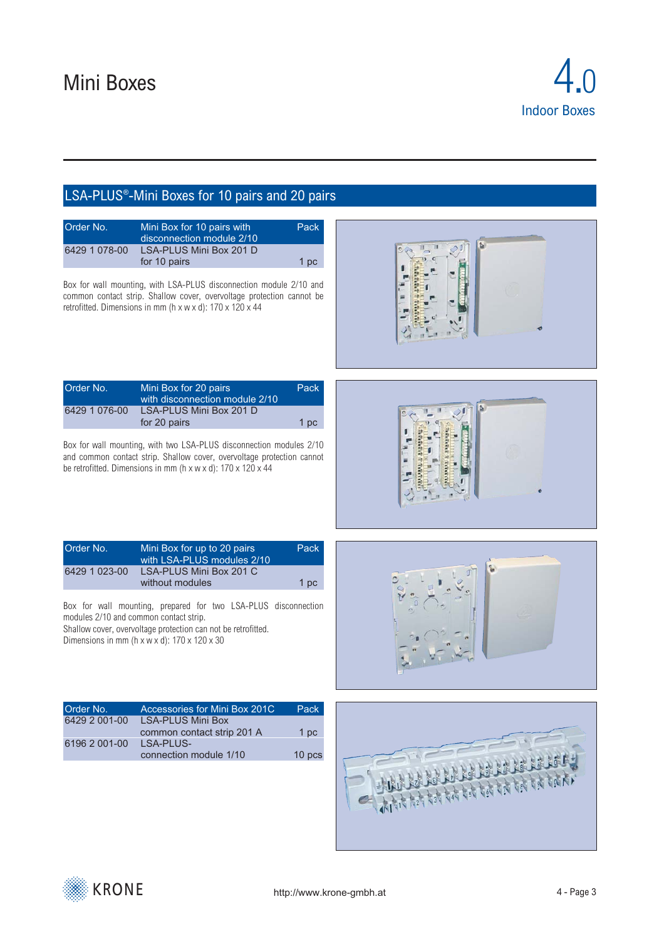

|                                                                      | LSA-PLUS <sup>®</sup> -Mini Boxes for 10 pairs and 20 pairs                                                                                                                                                                                                                                                                               |   |
|----------------------------------------------------------------------|-------------------------------------------------------------------------------------------------------------------------------------------------------------------------------------------------------------------------------------------------------------------------------------------------------------------------------------------|---|
| Order No.<br>6429 1 078-00                                           | Mini Box for 10 pairs with<br>Pack<br>disconnection module 2/10<br>LSA-PLUS Mini Box 201 D<br>for 10 pairs<br>1 <sub>pc</sub><br>Box for wall mounting, with LSA-PLUS disconnection module 2/10 and<br>common contact strip. Shallow cover, overvoltage protection cannot be<br>retrofitted. Dimensions in mm (h x w x d): 170 x 120 x 44 | ъ |
| Order No.<br>6429 1 076-00                                           | Mini Box for 20 pairs<br>Pack<br>with disconnection module 2/10<br>LSA-PLUS Mini Box 201 D<br>for 20 pairs<br>1pc<br>Box for wall mounting, with two LSA-PLUS disconnection modules 2/10<br>and common contact strip. Shallow cover, overvoltage protection cannot<br>be retrofitted. Dimensions in mm (h x w x d): 170 x 120 x 44        |   |
| Order No.<br>6429 1 023-00<br>modules 2/10 and common contact strip. | Pack<br>Mini Box for up to 20 pairs<br>with LSA-PLUS modules 2/10<br>LSA-PLUS Mini Box 201 C<br>without modules<br>1 pc<br>Box for wall mounting, prepared for two LSA-PLUS disconnection<br>Shallow cover, overvoltage protection can not be retrofitted.<br>Dimensions in mm ( $h \times w \times d$ ): 170 $\times$ 120 $\times$ 30    |   |
| Order No.<br>6429 2 001-00<br>6196 2 001-00                          | Accessories for Mini Box 201C<br>Pack<br><b>LSA-PLUS Mini Box</b><br>common contact strip 201 A<br>1 pc<br><b>LSA-PLUS-</b><br>connection module 1/10<br>10 pcs                                                                                                                                                                           |   |

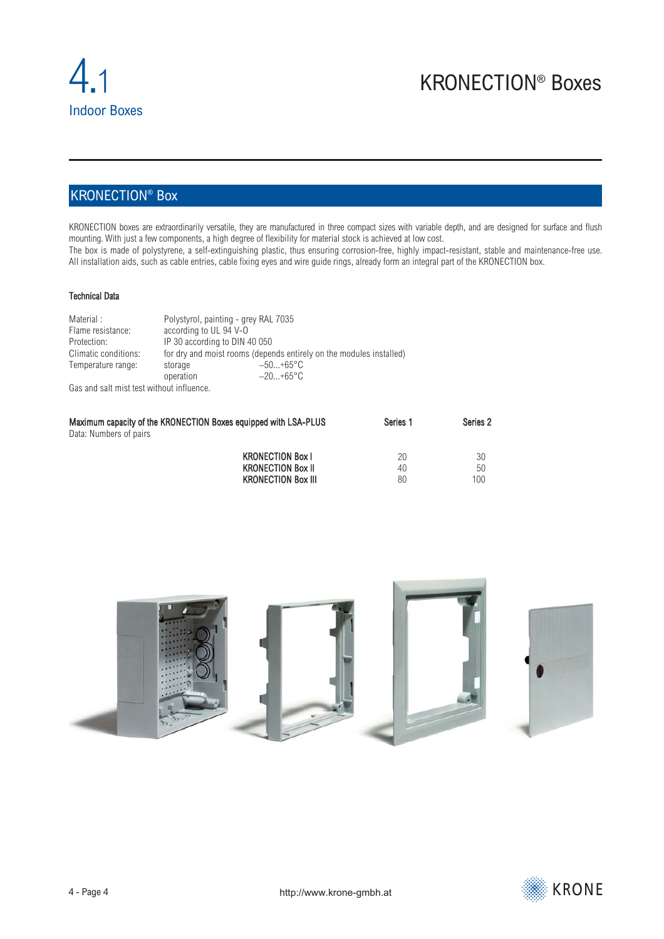## <span id="page-3-0"></span>KRONECTION® Box

KRONECTION boxes are extraordinarily versatile, they are manufactured in three compact sizes with variable depth, and are designed for surface and flush mounting. With just a few components, a high degree of flexibility for material stock is achieved at low cost. The box is made of polystyrene, a self-extinguishing plastic, thus ensuring corrosion-free, highly impact-resistant, stable and maintenance-free use. All installation aids, such as cable entries, cable fixing eyes and wire guide rings, already form an integral part of the KRONECTION box.

#### Technical Data

| Material:                                 |                               | Polystyrol, painting - grey RAL 7035                                |  |  |
|-------------------------------------------|-------------------------------|---------------------------------------------------------------------|--|--|
| Flame resistance:                         |                               | according to UL 94 V-O                                              |  |  |
| Protection:                               | IP 30 according to DIN 40 050 |                                                                     |  |  |
| Climatic conditions:                      |                               | for dry and moist rooms (depends entirely on the modules installed) |  |  |
| Temperature range:                        | storage                       | $-50+65$ °C                                                         |  |  |
|                                           | operation                     | $-20+65$ °C                                                         |  |  |
| Gas and salt mist test without influence. |                               |                                                                     |  |  |

| Maximum capacity of the KRONECTION Boxes equipped with LSA-PLUS | Series <sub>1</sub> | Series <sub>2</sub> |
|-----------------------------------------------------------------|---------------------|---------------------|
| Data: Numbers of pairs                                          |                     |                     |
| <b>KRONECTION Box I</b>                                         | 20                  | 30                  |
| <b>KRONECTION Box II</b>                                        | 40                  | 50                  |
| <b>KRONECTION Box III</b>                                       | 80                  | 100                 |



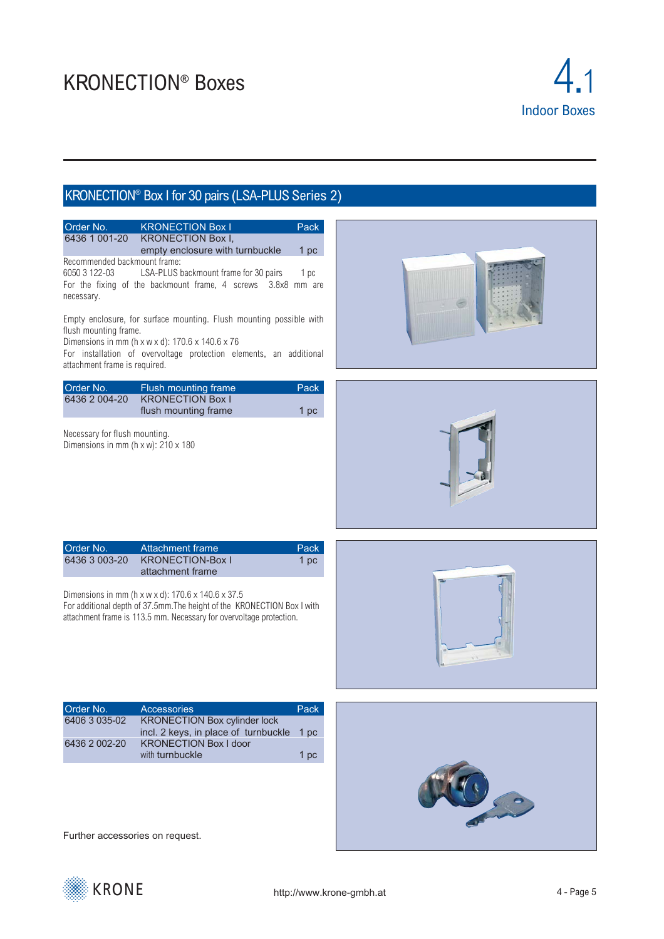

## KRONECTION® Box I for 30 pairs (LSA-PLUS Series 2)



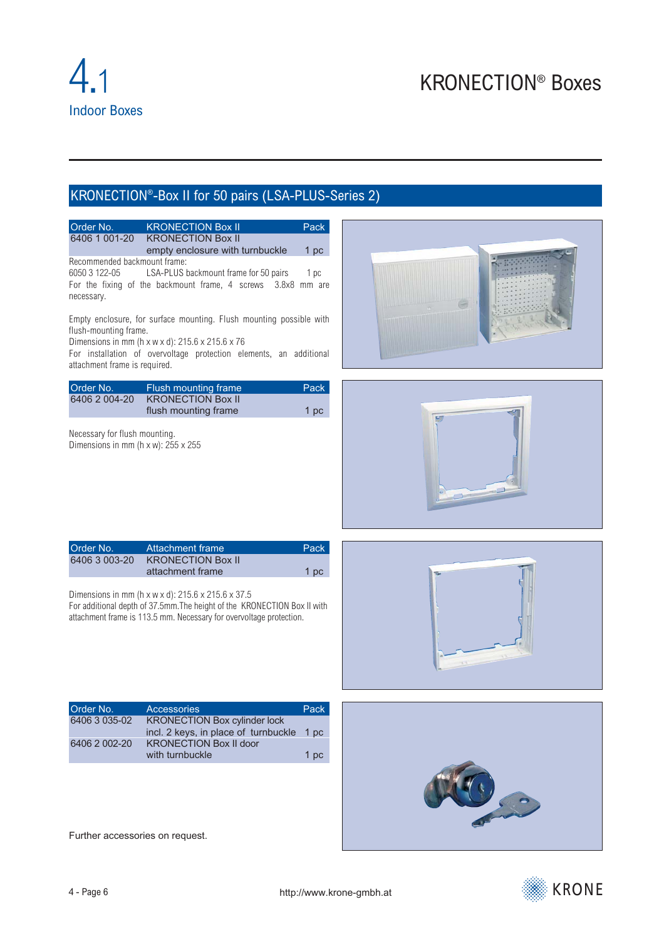# KRONECTION®-Box II for 50 pairs (LSA-PLUS-Series 2)

| Order No.<br>6406 1 001-20                                                           | <b>KRONECTION Box II</b><br><b>KRONECTION Box II</b><br>empty enclosure with turnbuckle                                                                                                                                   | Pack<br>1 <sub>pc</sub> |  |
|--------------------------------------------------------------------------------------|---------------------------------------------------------------------------------------------------------------------------------------------------------------------------------------------------------------------------|-------------------------|--|
| Recommended backmount frame:<br>6050 3 122-05<br>necessary.                          | LSA-PLUS backmount frame for 50 pairs<br>For the fixing of the backmount frame, 4 screws 3.8x8 mm are                                                                                                                     | 1 pc                    |  |
| flush-mounting frame.<br>attachment frame is required.                               | Empty enclosure, for surface mounting. Flush mounting possible with<br>Dimensions in mm ( $h \times w \times d$ ): 215.6 $\times$ 215.6 $\times$ 76<br>For installation of overvoltage protection elements, an additional |                         |  |
| Order No.<br>6406 2 004-20                                                           | Flush mounting frame<br><b>KRONECTION Box II</b><br>flush mounting frame                                                                                                                                                  | Pack<br>1 pc            |  |
| Necessary for flush mounting.<br>Dimensions in mm ( $h \times w$ ): 255 $\times$ 255 |                                                                                                                                                                                                                           |                         |  |
| Order No.<br>6406 3 003-20                                                           | <b>Attachment frame</b><br><b>KRONECTION Box II</b><br>attachment frame                                                                                                                                                   | Pack<br>1 pc            |  |
|                                                                                      | Dimensions in mm (h x w x d): 215.6 x 215.6 x 37.5<br>For additional depth of 37.5mm. The height of the KRONECTION Box II with<br>attachment frame is 113.5 mm. Necessary for overvoltage protection.                     |                         |  |
| Order No.<br>6406 3 035-02<br>6406 2 002-20                                          | <b>Accessories</b><br><b>KRONECTION Box cylinder lock</b><br>incl. 2 keys, in place of turnbuckle<br><b>KRONECTION Box II door</b><br>with turnbuckle                                                                     | Pack<br>1 pc<br>1 pc    |  |
| Further accessories on request.                                                      |                                                                                                                                                                                                                           |                         |  |

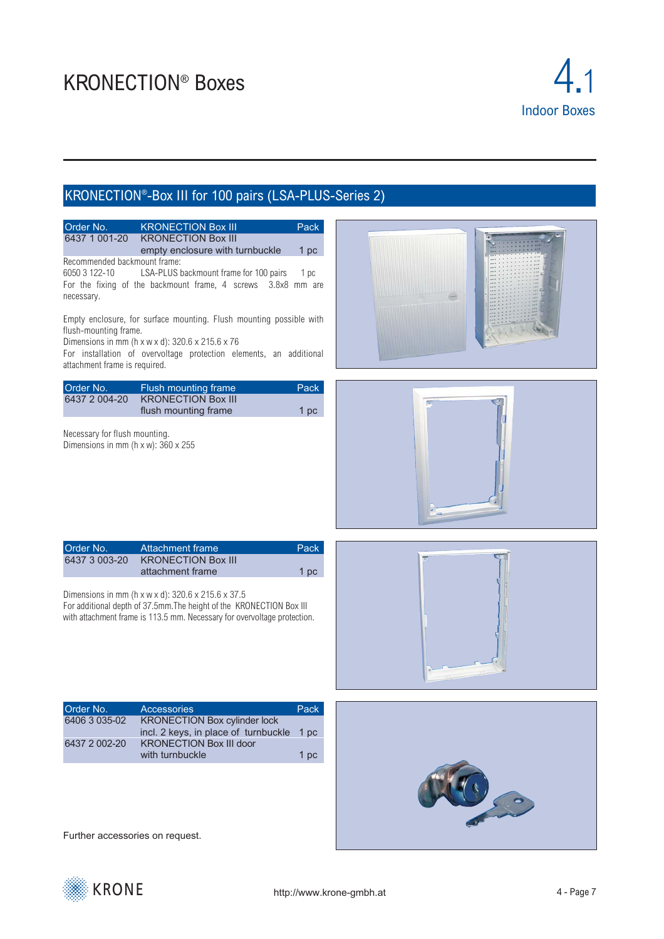

## KRONECTION®-Box III for 100 pairs (LSA-PLUS-Series 2)



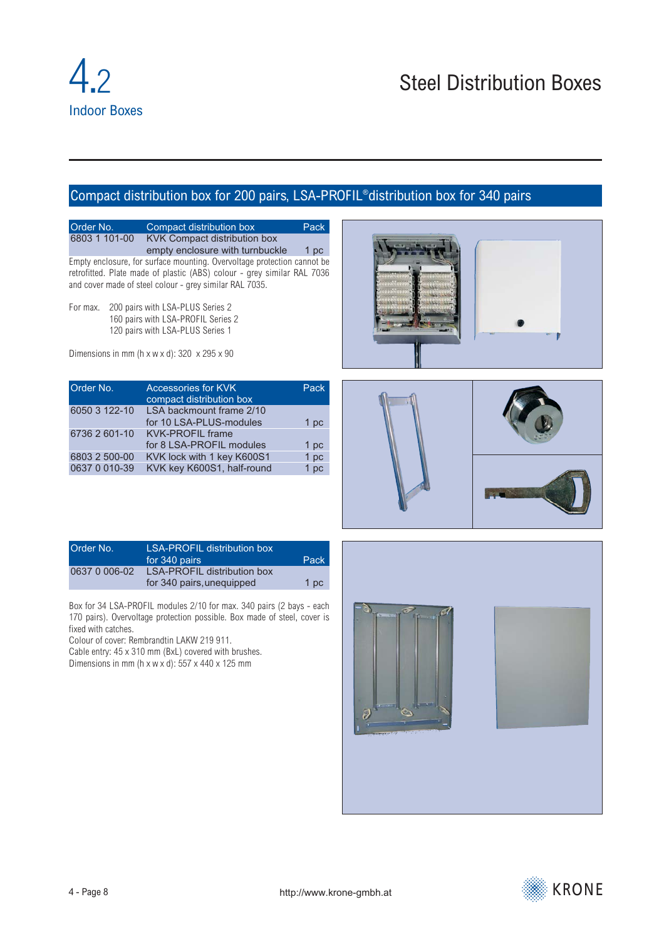## <span id="page-7-0"></span>Compact distribution box for 200 pairs, LSA-PROFIL®distribution box for 340 pairs

Order No. Compact distribution box Pack<br>6803 1 101-00 KVK Compact distribution box **KVK Compact distribution box** empty enclosure with turnbuckle 1 pc Empty enclosure, for surface mounting. Overvoltage protection cannot be

retrofitted. Plate made of plastic (ABS) colour - grey similar RAL 7036 and cover made of steel colour - grey similar RAL 7035.

For max. 200 pairs with LSA-PLUS Series 2 160 pairs with LSA-PROFIL Series 2 120 pairs with LSA-PLUS Series 1

Dimensions in mm (h x w x d):  $320 \times 295 \times 90$ 

| Order No.     | <b>Accessories for KVK</b><br>compact distribution box | Pack |
|---------------|--------------------------------------------------------|------|
| 6050 3 122-10 | LSA backmount frame 2/10<br>for 10 LSA-PLUS-modules    | 1 pc |
| 6736 2 601-10 | <b>KVK-PROFIL frame</b><br>for 8 LSA-PROFIL modules    | 1 pc |
| 6803 2 500-00 | KVK lock with 1 key K600S1                             | 1 pc |
| 0637 0 010-39 | KVK key K600S1, half-round                             | 1 pc |





| Order No.     | LSA-PROFIL distribution box |      |
|---------------|-----------------------------|------|
|               | for 340 pairs               | Pack |
| 0637 0 006-02 | LSA-PROFIL distribution box |      |
|               | for 340 pairs, unequipped   | 1 pc |

Box for 34 LSA-PROFIL modules 2/10 for max. 340 pairs (2 bays - each 170 pairs). Overvoltage protection possible. Box made of steel, cover is fixed with catches.

Colour of cover: Rembrandtin LAKW 219 911.

Cable entry: 45 x 310 mm (BxL) covered with brushes. Dimensions in mm (h x w x d):  $557 \times 440 \times 125$  mm



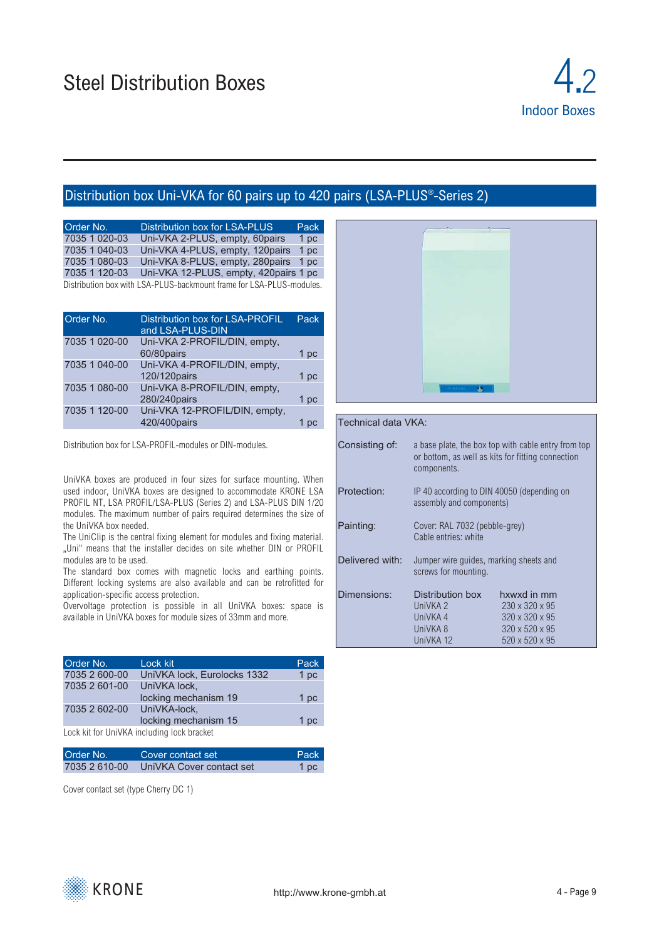

## Distribution box Uni-VKA for 60 pairs up to 420 pairs (LSA-PLUS®-Series 2)

| Order No.     | Distribution box for LSA-PLUS                                        | Pack |
|---------------|----------------------------------------------------------------------|------|
| 7035 1 020-03 | Uni-VKA 2-PLUS, empty, 60pairs                                       | 1 pc |
| 7035 1 040-03 | Uni-VKA 4-PLUS, empty, 120pairs                                      | 1 pc |
| 7035 1 080-03 | Uni-VKA 8-PLUS, empty, 280pairs 1 pc                                 |      |
| 7035 1 120-03 | Uni-VKA 12-PLUS, empty, 420 pairs 1 pc                               |      |
|               | Distribution box with LSA-PLUS-backmount frame for LSA-PLUS-modules. |      |

| Order No.     | Distribution box for LSA-PROFIL<br>and LSA-PLUS-DIN | Pack |
|---------------|-----------------------------------------------------|------|
| 7035 1 020-00 | Uni-VKA 2-PROFIL/DIN, empty,                        |      |
|               | 60/80pairs                                          | 1 pc |
| 7035 1 040-00 | Uni-VKA 4-PROFIL/DIN, empty,                        |      |
|               | 120/120pairs                                        | 1 pc |
| 7035 1 080-00 | Uni-VKA 8-PROFIL/DIN, empty,                        |      |
|               | 280/240pairs                                        | 1 pc |
| 7035 1 120-00 | Uni-VKA 12-PROFIL/DIN, empty,                       |      |
|               | 420/400pairs                                        |      |
|               |                                                     |      |

Distribution box for LSA-PROFIL-modules or DIN-modules.

UniVKA boxes are produced in four sizes for surface mounting. When used indoor, UniVKA boxes are designed to accommodate KRONE LSA PROFIL NT, LSA PROFIL/LSA-PLUS (Series 2) and LSA-PLUS DIN 1/20 modules. The maximum number of pairs required determines the size of the UniVKA box needed.

The UniClip is the central fixing element for modules and fixing material. "Uni" means that the installer decides on site whether DIN or PROFIL modules are to be used.

The standard box comes with magnetic locks and earthing points. Different locking systems are also available and can be retrofitted for application-specific access protection.

Overvoltage protection is possible in all UniVKA boxes: space is available in UniVKA boxes for module sizes of 33mm and more.

| Order No.                  | Lock kit                                   | Pack |
|----------------------------|--------------------------------------------|------|
| 7035 2 600-00              | UniVKA lock, Eurolocks 1332                | 1 pc |
| 7035 2 601-00              | UniVKA lock,                               |      |
|                            | locking mechanism 19                       | 1 pc |
| 7035 2 602-00 UniVKA-lock. |                                            |      |
|                            | locking mechanism 15                       | 1 pc |
|                            | Lock kit for UniVKA including lock bracket |      |

Lock kit for UniVKA including lock bracket

| Order No.     | Cover contact set        | Pack |
|---------------|--------------------------|------|
| 7035 2 610-00 | UniVKA Cover contact set | 1 pc |

Cover contact set (type Cherry DC 1)



#### Technical data VKA:

| Consisting of:  | a base plate, the box top with cable entry from top<br>or bottom, as well as kits for fitting connection<br>components. |                            |
|-----------------|-------------------------------------------------------------------------------------------------------------------------|----------------------------|
| Protection:     | IP 40 according to DIN 40050 (depending on<br>assembly and components)                                                  |                            |
| Painting:       | Cover: RAL 7032 (pebble-grey)<br>Cable entries: white                                                                   |                            |
| Delivered with: | Jumper wire quides, marking sheets and<br>screws for mounting.                                                          |                            |
| Dimensions:     | Distribution box                                                                                                        | hxwxd in mm                |
|                 | UniVKA <sub>2</sub>                                                                                                     | $230 \times 320 \times 95$ |
|                 | UniVKA 4                                                                                                                | $320 \times 320 \times 95$ |
|                 | UniVKA 8                                                                                                                | $320 \times 520 \times 95$ |
|                 | UniVKA 12                                                                                                               | $520 \times 520 \times 95$ |

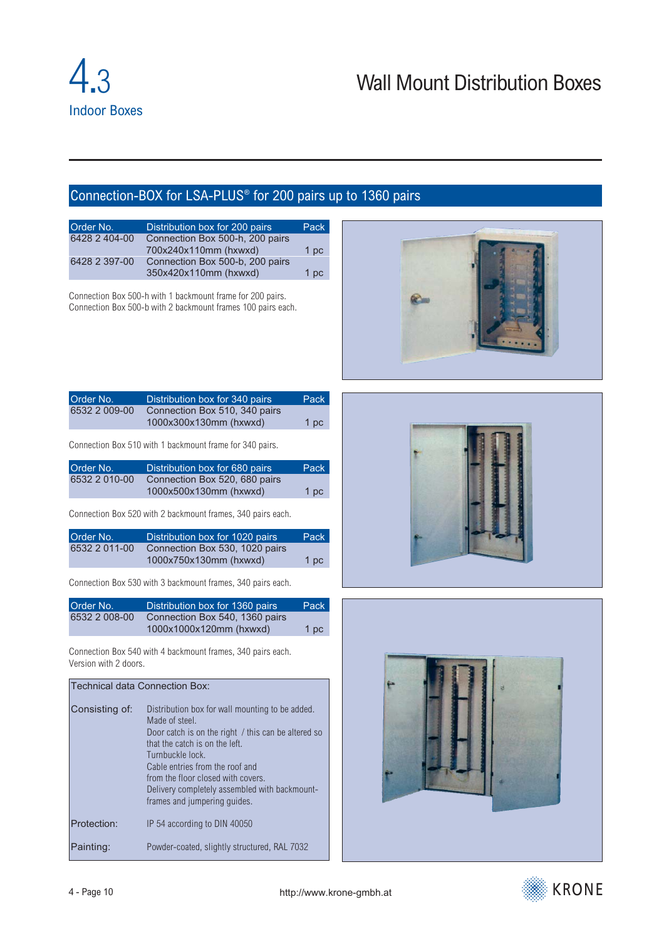# Wall Mount Distribution Boxes

## <span id="page-9-0"></span>Connection-BOX for LSA-PLUS® for 200 pairs up to 1360 pairs

| Order No.     | Distribution box for 200 pairs  | Pack |
|---------------|---------------------------------|------|
| 6428 2 404-00 | Connection Box 500-h, 200 pairs |      |
|               | 700x240x110mm (hxwxd)           | 1 pc |
| 6428 2 397-00 | Connection Box 500-b, 200 pairs |      |
|               | 350x420x110mm (hxwxd)           | 1 pc |

Connection Box 500-h with 1 backmount frame for 200 pairs. Connection Box 500-b with 2 backmount frames 100 pairs each.



| Order No.     | Distribution box for 340 pairs | Pack |
|---------------|--------------------------------|------|
| 6532 2 009-00 | Connection Box 510, 340 pairs  |      |
|               | 1000x300x130mm (hxwxd)         | 1 pc |

Connection Box 510 with 1 backmount frame for 340 pairs.

| Order No.     | Distribution box for 680 pairs | Pack |
|---------------|--------------------------------|------|
| 6532 2 010-00 | Connection Box 520, 680 pairs  |      |
|               | 1000x500x130mm (hxwxd)         | 1 pc |

Connection Box 520 with 2 backmount frames, 340 pairs each.

| Order No.     | Distribution box for 1020 pairs | Pack |
|---------------|---------------------------------|------|
| 6532 2 011-00 | Connection Box 530, 1020 pairs  |      |
|               | 1000x750x130mm (hxwxd)          | 1 pc |

Connection Box 530 with 3 backmount frames, 340 pairs each.

| Order No.     | Distribution box for 1360 pairs | Pack |
|---------------|---------------------------------|------|
| 6532 2 008-00 | Connection Box 540, 1360 pairs  |      |
|               | 1000x1000x120mm (hxwxd)         | 1 pc |

Connection Box 540 with 4 backmount frames, 340 pairs each. Version with 2 doors.

## Technical data Connection Box: Consisting of: Distribution box for wall mounting to be added. Made of steel. Door catch is on the right / this can be altered so that the catch is on the left. Turnbuckle lock. Cable entries from the roof and from the floor closed with covers. Delivery completely assembled with backmountframes and jumpering guides. Protection: IP 54 according to DIN 40050 Painting: Powder-coated, slightly structured, RAL 7032



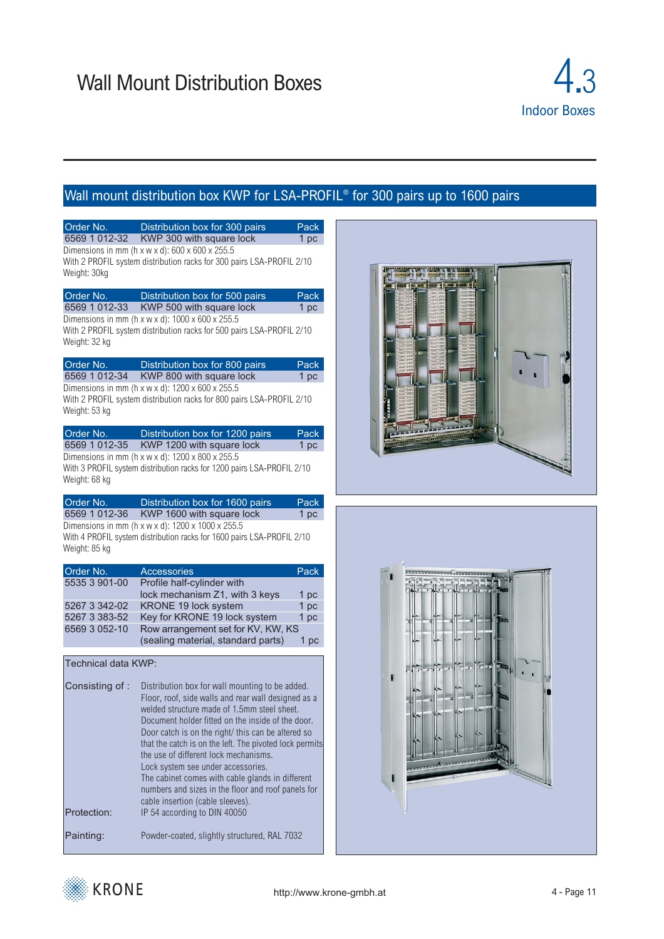

# Wall mount distribution box KWP for LSA-PROFIL<sup>®</sup> for 300 pairs up to 1600 pairs

| 6569 1 012-32       | Distribution box for 300 pairs<br>Pack                                                                                                                                                                                                                                                                                                                                                                                                                                                                               |
|---------------------|----------------------------------------------------------------------------------------------------------------------------------------------------------------------------------------------------------------------------------------------------------------------------------------------------------------------------------------------------------------------------------------------------------------------------------------------------------------------------------------------------------------------|
|                     | KWP 300 with square lock<br>1 pc<br>Dimensions in mm (h x w x d): $600 \times 600 \times 255.5$<br>With 2 PROFIL system distribution racks for 300 pairs LSA-PROFIL 2/10                                                                                                                                                                                                                                                                                                                                             |
| Weight: 30kg        |                                                                                                                                                                                                                                                                                                                                                                                                                                                                                                                      |
| Order No.           | Distribution box for 500 pairs<br>Pack                                                                                                                                                                                                                                                                                                                                                                                                                                                                               |
| 6569 1 012-33       | KWP 500 with square lock<br>1 pc                                                                                                                                                                                                                                                                                                                                                                                                                                                                                     |
| Weight: 32 kg       | Dimensions in mm ( $h \times w \times d$ ): 1000 $\times$ 600 $\times$ 255.5<br>With 2 PROFIL system distribution racks for 500 pairs LSA-PROFIL 2/10                                                                                                                                                                                                                                                                                                                                                                |
| Order No.           | Distribution box for 800 pairs<br>Pack                                                                                                                                                                                                                                                                                                                                                                                                                                                                               |
| 6569 1 012-34       | KWP 800 with square lock<br>1 <sub>pc</sub>                                                                                                                                                                                                                                                                                                                                                                                                                                                                          |
| Weight: 53 kg       | Dimensions in mm (h x w x d): 1200 x 600 x 255.5<br>With 2 PROFIL system distribution racks for 800 pairs LSA-PROFIL 2/10                                                                                                                                                                                                                                                                                                                                                                                            |
| Order No.           | Distribution box for 1200 pairs<br>Pack                                                                                                                                                                                                                                                                                                                                                                                                                                                                              |
| 6569 1 012-35       | KWP 1200 with square lock<br>1 pc                                                                                                                                                                                                                                                                                                                                                                                                                                                                                    |
|                     | Dimensions in mm (h x w x d): 1200 x 800 x 255.5                                                                                                                                                                                                                                                                                                                                                                                                                                                                     |
| Weight: 68 kg       | With 3 PROFIL system distribution racks for 1200 pairs LSA-PROFIL 2/10                                                                                                                                                                                                                                                                                                                                                                                                                                               |
| Order No.           | Distribution box for 1600 pairs<br>Pack                                                                                                                                                                                                                                                                                                                                                                                                                                                                              |
| 6569 1 012-36       | KWP 1600 with square lock<br>1 pc                                                                                                                                                                                                                                                                                                                                                                                                                                                                                    |
| Weight: 85 kg       | Dimensions in mm (h x w x d): 1200 x 1000 x 255.5<br>With 4 PROFIL system distribution racks for 1600 pairs LSA-PROFIL 2/10                                                                                                                                                                                                                                                                                                                                                                                          |
|                     |                                                                                                                                                                                                                                                                                                                                                                                                                                                                                                                      |
| Order No.           | Pack<br>Accessories                                                                                                                                                                                                                                                                                                                                                                                                                                                                                                  |
| 5535 3 901-00       | Profile half-cylinder with                                                                                                                                                                                                                                                                                                                                                                                                                                                                                           |
|                     | lock mechanism Z1, with 3 keys<br>1 pc                                                                                                                                                                                                                                                                                                                                                                                                                                                                               |
| 5267 3 342-02       | KRONE 19 lock system<br>1 pc                                                                                                                                                                                                                                                                                                                                                                                                                                                                                         |
| 5267 3 383-52       | Key for KRONE 19 lock system<br>1 pc                                                                                                                                                                                                                                                                                                                                                                                                                                                                                 |
| 6569 3 052-10       | Row arrangement set for KV, KW, KS                                                                                                                                                                                                                                                                                                                                                                                                                                                                                   |
|                     | (sealing material, standard parts)<br>1 pc                                                                                                                                                                                                                                                                                                                                                                                                                                                                           |
| Technical data KWP: |                                                                                                                                                                                                                                                                                                                                                                                                                                                                                                                      |
| Consisting of:      | Distribution box for wall mounting to be added.<br>Floor, roof, side walls and rear wall designed as a<br>welded structure made of 1.5mm steel sheet.<br>Document holder fitted on the inside of the door.<br>Door catch is on the right/ this can be altered so<br>that the catch is on the left. The pivoted lock permits<br>the use of different lock mechanisms.<br>Lock system see under accessories.<br>The cabinet comes with cable glands in different<br>numbers and sizes in the floor and roof panels for |
|                     | cable insertion (cable sleeves).                                                                                                                                                                                                                                                                                                                                                                                                                                                                                     |
| Protection:         | IP 54 according to DIN 40050                                                                                                                                                                                                                                                                                                                                                                                                                                                                                         |





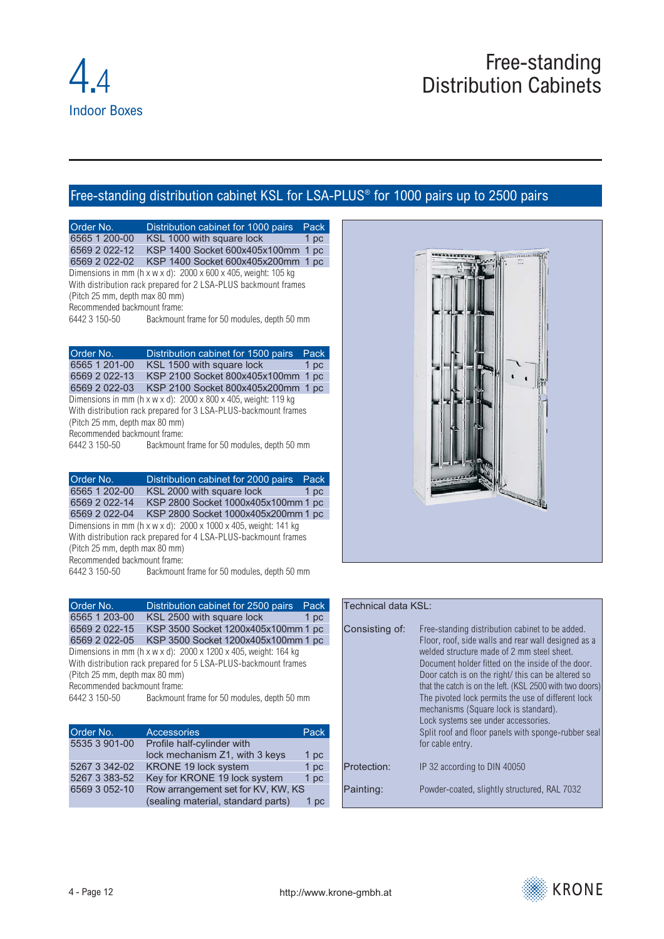## <span id="page-11-0"></span>Free-standing distribution cabinet KSL for LSA-PLUS® for 1000 pairs up to 2500 pairs

Order No. **Distribution cabinet for 1000 pairs** Pack 6565 1 200-00 KSL 1000 with square lock 1 pc KSL 1000 with square lock 6569 2 022-12 KSP 1400 Socket 600x405x100mm 1 pc 6569 2 022-02 KSP 1400 Socket 600x405x200mm 1 pc Dimensions in mm ( $h \times w \times d$ ): 2000  $\times$  600  $\times$  405, weight: 105 kg With distribution rack prepared for 2 LSA-PLUS backmount frames (Pitch 25 mm, depth max 80 mm) Recommended backmount frame: 6442 3 150-50 Backmount frame for 50 modules, depth 50 mm

Order No. Distribution cabinet for 1500 pairs 6565 1 201-00 KSL 1500 with square lock 1 pc 6569 2 022-13 KSP 2100 Socket 800x405x100mm 1 pc 6569 2 022-03 KSP 2100 Socket 800x405x200mm 1 pc Dimensions in mm (h x w x d):  $2000 \times 800 \times 405$ , weight: 119 kg With distribution rack prepared for 3 LSA-PLUS-backmount frames (Pitch 25 mm, depth max 80 mm)

Recommended backmount frame:<br>6442 3 150-50 Backmount Backmount frame for 50 modules, depth 50 mm

Order No. Distribution cabinet for 2000 pairs Pack 6565 1 202-00 KSL 2000 with square lock 1 pc 6569 2 022-14 KSP 2800 Socket 1000x405x100mm 1 pc 6569 2 022-04 KSP 2800 Socket 1000x405x200mm 1 pc Dimensions in mm (h x w x d): 2000 x 1000 x 405, weight: 141 kg With distribution rack prepared for 4 LSA-PLUS-backmount frames

(Pitch 25 mm, depth max 80 mm) Recommended backmount frame:

6442 3 150-50 Backmount frame for 50 modules, depth 50 mm

Order No. **Distribution cabinet for 2500 pairs** Pack<br>6565 1 203-00 KSL 2500 with square lock 1 pc KSL 2500 with square lock 6569 2 022-15 KSP 3500 Socket 1200x405x100mm 1 pc 6569 2 022-05 KSP 3500 Socket 1200x405x100mm 1 pc Dimensions in mm (h x w x d): 2000 x 1200 x 405, weight: 164 kg With distribution rack prepared for 5 LSA-PLUS-backmount frames (Pitch 25 mm, depth max 80 mm) Recommended backmount frame: 6442 3 150-50 Backmount frame for 50 modules, depth 50 mm

| Order No.     | <b>Accessories</b>                 | Pack |
|---------------|------------------------------------|------|
| 5535 3 901-00 | Profile half-cylinder with         |      |
|               | lock mechanism Z1, with 3 keys     | 1 pc |
| 5267 3 342-02 | KRONE 19 lock system               | 1 pc |
| 5267 3 383-52 | Key for KRONE 19 lock system       | 1 pc |
| 6569 3 052-10 | Row arrangement set for KV, KW, KS |      |
|               | (sealing material, standard parts) | 1 pc |



#### Technical data KSL: Consisting of: Free-standing distribution cabinet to be added. Floor, roof, side walls and rear wall designed as a welded structure made of 2 mm steel sheet. Document holder fitted on the inside of the door. Door catch is on the right/ this can be altered so that the catch is on the left. (KSL 2500 with two doors) The pivoted lock permits the use of different lock mechanisms (Square lock is standard). Lock systems see under accessories. Split roof and floor panels with sponge-rubber seal for cable entry.

Protection: IP 32 according to DIN 40050 Painting: Powder-coated, slightly structured, RAL 7032

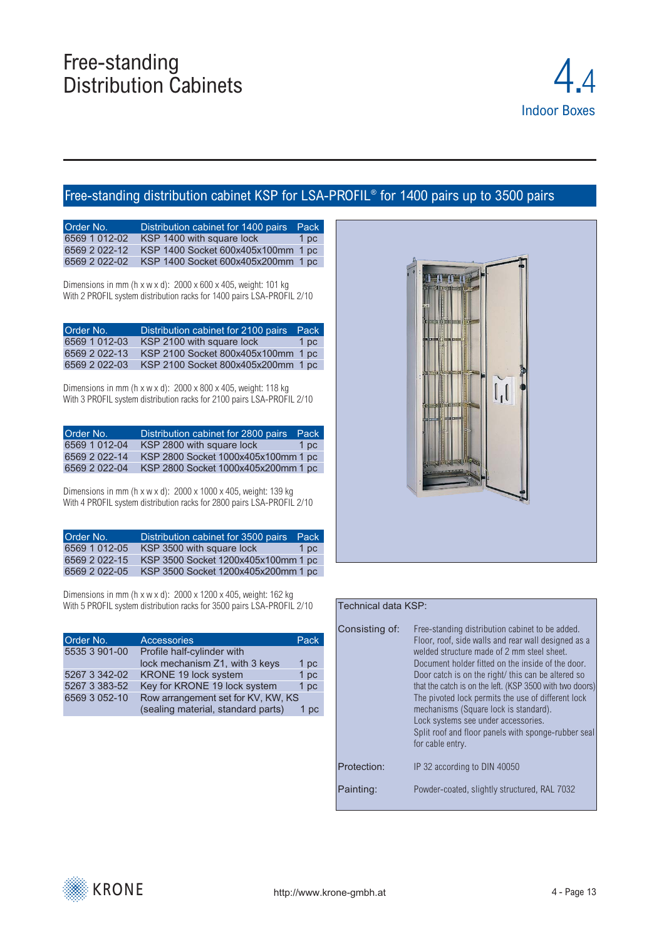

## Free-standing distribution cabinet KSP for LSA-PROFIL® for 1400 pairs up to 3500 pairs

| Order No.     | Distribution cabinet for 1400 pairs | Pack |
|---------------|-------------------------------------|------|
| 6569 1 012-02 | KSP 1400 with square lock           | 1 pc |
| 6569 2 022-12 | KSP 1400 Socket 600x405x100mm 1 pc  |      |
| 6569 2 022-02 | KSP 1400 Socket 600x405x200mm 1 pc  |      |

Dimensions in mm (h x w x d): 2000 x 600 x 405, weight: 101 kg With 2 PROFIL system distribution racks for 1400 pairs LSA-PROFIL 2/10

| Order No.     | Distribution cabinet for 2100 pairs | Pack |
|---------------|-------------------------------------|------|
| 6569 1 012-03 | KSP 2100 with square lock           | 1 pc |
| 6569 2 022-13 | KSP 2100 Socket 800x405x100mm 1 pc  |      |
| 6569 2 022-03 | KSP 2100 Socket 800x405x200mm 1 pc  |      |

Dimensions in mm (h x w x d): 2000 x 800 x 405, weight: 118 kg With 3 PROFIL system distribution racks for 2100 pairs LSA-PROFIL 2/10

| Order No.     | Distribution cabinet for 2800 pairs | Pack |
|---------------|-------------------------------------|------|
| 6569 1 012-04 | KSP 2800 with square lock           | 1 pc |
| 6569 2 022-14 | KSP 2800 Socket 1000x405x100mm 1 pc |      |
| 6569 2 022-04 | KSP 2800 Socket 1000x405x200mm 1 pc |      |

Dimensions in mm (h x w x d): 2000 x 1000 x 405, weight: 139 kg With 4 PROFIL system distribution racks for 2800 pairs LSA-PROFIL 2/10

| Order No.     | Distribution cabinet for 3500 pairs | Pack |
|---------------|-------------------------------------|------|
| 6569 1 012-05 | KSP 3500 with square lock           | 1 pc |
| 6569 2 022-15 | KSP 3500 Socket 1200x405x100mm 1 pc |      |
| 6569 2 022-05 | KSP 3500 Socket 1200x405x200mm 1 pc |      |

Dimensions in mm (h x w x d): 2000 x 1200 x 405, weight: 162 kg With 5 PROFIL system distribution racks for 3500 pairs LSA-PROFIL 2/10

| Order No.     | <b>Accessories</b>                 | Pack      |
|---------------|------------------------------------|-----------|
| 5535 3 901-00 | Profile half-cylinder with         |           |
|               | lock mechanism Z1, with 3 keys     | 1 pc      |
| 5267 3 342-02 | KRONE 19 lock system               | 1 pc      |
| 5267 3 383-52 | Key for KRONE 19 lock system       | 1 pc      |
| 6569 3 052-10 | Row arrangement set for KV, KW, KS |           |
|               | (sealing material, standard parts) | <b>DC</b> |



## Technical data KSP: Consisting of: Free-standing distribution cabinet to be added. Floor, roof, side walls and rear wall designed as a welded structure made of 2 mm steel sheet. Document holder fitted on the inside of the door. Door catch is on the right/ this can be altered so that the catch is on the left. (KSP 3500 with two doors) The pivoted lock permits the use of different lock mechanisms (Square lock is standard). Lock systems see under accessories. Split roof and floor panels with sponge-rubber seal for cable entry. Protection: IP 32 according to DIN 40050 Painting: Powder-coated, slightly structured, RAL 7032